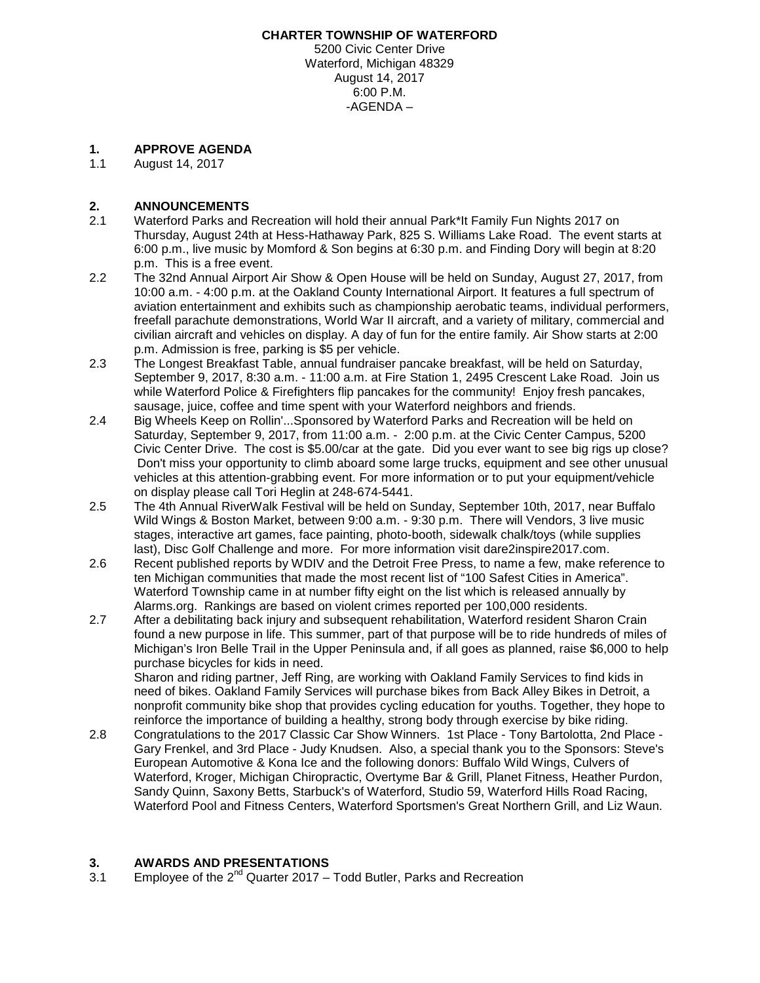#### **CHARTER TOWNSHIP OF WATERFORD**

5200 Civic Center Drive Waterford, Michigan 48329 August 14, 2017 6:00 P.M. -AGENDA –

# **1. APPROVE AGENDA**

August 14, 2017

## **2. ANNOUNCEMENTS**

- 2.1 Waterford Parks and Recreation will hold their annual Park\*It Family Fun Nights 2017 on Thursday, August 24th at Hess-Hathaway Park, 825 S. Williams Lake Road. The event starts at 6:00 p.m., live music by Momford & Son begins at 6:30 p.m. and Finding Dory will begin at 8:20 p.m. This is a free event.
- 2.2 The 32nd Annual Airport Air Show & Open House will be held on Sunday, August 27, 2017, from 10:00 a.m. - 4:00 p.m. at the Oakland County International Airport. It features a full spectrum of aviation entertainment and exhibits such as championship aerobatic teams, individual performers, freefall parachute demonstrations, World War II aircraft, and a variety of military, commercial and civilian aircraft and vehicles on display. A day of fun for the entire family. Air Show starts at 2:00 p.m. Admission is free, parking is \$5 per vehicle.
- 2.3 The Longest Breakfast Table, annual fundraiser pancake breakfast, will be held on Saturday, September 9, 2017, 8:30 a.m. - 11:00 a.m. at Fire Station 1, 2495 Crescent Lake Road. Join us while Waterford Police & Firefighters flip pancakes for the community! Enjoy fresh pancakes, sausage, juice, coffee and time spent with your Waterford neighbors and friends.
- 2.4 Big Wheels Keep on Rollin'...Sponsored by Waterford Parks and Recreation will be held on Saturday, September 9, 2017, from 11:00 a.m. - 2:00 p.m. at the Civic Center Campus, 5200 Civic Center Drive. The cost is \$5.00/car at the gate. Did you ever want to see big rigs up close? Don't miss your opportunity to climb aboard some large trucks, equipment and see other unusual vehicles at this attention-grabbing event. For more information or to put your equipment/vehicle on display please call Tori Heglin at 248-674-5441.
- 2.5 The 4th Annual RiverWalk Festival will be held on Sunday, September 10th, 2017, near Buffalo Wild Wings & Boston Market, between 9:00 a.m. - 9:30 p.m. There will Vendors, 3 live music stages, interactive art games, face painting, photo-booth, sidewalk chalk/toys (while supplies last), Disc Golf Challenge and more. For more information visit dare2inspire2017.com.
- 2.6 Recent published reports by WDIV and the Detroit Free Press, to name a few, make reference to ten Michigan communities that made the most recent list of "100 Safest Cities in America". Waterford Township came in at number fifty eight on the list which is released annually by Alarms.org. Rankings are based on violent crimes reported per 100,000 residents.
- 2.7 After a debilitating back injury and subsequent rehabilitation, Waterford resident Sharon Crain found a new purpose in life. This summer, part of that purpose will be to ride hundreds of miles of Michigan's Iron Belle Trail in the Upper Peninsula and, if all goes as planned, raise \$6,000 to help purchase bicycles for kids in need. Sharon and riding partner, Jeff Ring, are working with Oakland Family Services to find kids in

need of bikes. Oakland Family Services will purchase bikes from Back Alley Bikes in Detroit, a nonprofit community bike shop that provides cycling education for youths. Together, they hope to reinforce the importance of building a healthy, strong body through exercise by bike riding.

2.8 Congratulations to the 2017 Classic Car Show Winners. 1st Place - Tony Bartolotta, 2nd Place - Gary Frenkel, and 3rd Place - Judy Knudsen. Also, a special thank you to the Sponsors: Steve's European Automotive & Kona Ice and the following donors: Buffalo Wild Wings, Culvers of Waterford, Kroger, Michigan Chiropractic, Overtyme Bar & Grill, Planet Fitness, Heather Purdon, Sandy Quinn, Saxony Betts, Starbuck's of Waterford, Studio 59, Waterford Hills Road Racing, Waterford Pool and Fitness Centers, Waterford Sportsmen's Great Northern Grill, and Liz Waun.

### **3. AWARDS AND PRESENTATIONS**

3.1 Employee of the  $2^{nd}$  Quarter 2017 – Todd Butler, Parks and Recreation